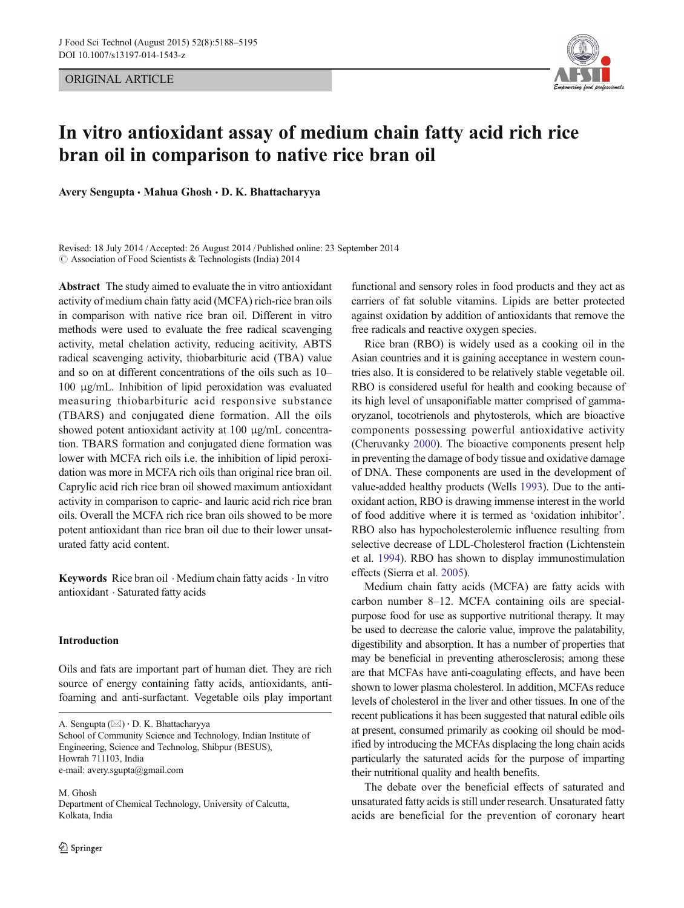ORIGINAL ARTICLE



# In vitro antioxidant assay of medium chain fatty acid rich rice bran oil in comparison to native rice bran oil

Avery Sengupta • Mahua Ghosh • D. K. Bhattacharyya

Revised: 18 July 2014 /Accepted: 26 August 2014 /Published online: 23 September 2014  $\odot$  Association of Food Scientists & Technologists (India) 2014

Abstract The study aimed to evaluate the in vitro antioxidant activity of medium chain fatty acid (MCFA) rich-rice bran oils in comparison with native rice bran oil. Different in vitro methods were used to evaluate the free radical scavenging activity, metal chelation activity, reducing acitivity, ABTS radical scavenging activity, thiobarbituric acid (TBA) value and so on at different concentrations of the oils such as 10– 100 μg/mL. Inhibition of lipid peroxidation was evaluated measuring thiobarbituric acid responsive substance (TBARS) and conjugated diene formation. All the oils showed potent antioxidant activity at 100 μg/mL concentration. TBARS formation and conjugated diene formation was lower with MCFA rich oils i.e. the inhibition of lipid peroxidation was more in MCFA rich oils than original rice bran oil. Caprylic acid rich rice bran oil showed maximum antioxidant activity in comparison to capric- and lauric acid rich rice bran oils. Overall the MCFA rich rice bran oils showed to be more potent antioxidant than rice bran oil due to their lower unsaturated fatty acid content.

Keywords Rice bran oil . Medium chain fatty acids . In vitro antioxidant . Saturated fatty acids

### Introduction

Oils and fats are important part of human diet. They are rich source of energy containing fatty acids, antioxidants, antifoaming and anti-surfactant. Vegetable oils play important

A. Sengupta  $(\boxtimes) \cdot$  D. K. Bhattacharyya

School of Community Science and Technology, Indian Institute of Engineering, Science and Technolog, Shibpur (BESUS), Howrah 711103, India e-mail: avery.sgupta@gmail.com

M. Ghosh Department of Chemical Technology, University of Calcutta, Kolkata, India

functional and sensory roles in food products and they act as carriers of fat soluble vitamins. Lipids are better protected against oxidation by addition of antioxidants that remove the free radicals and reactive oxygen species.

Rice bran (RBO) is widely used as a cooking oil in the Asian countries and it is gaining acceptance in western countries also. It is considered to be relatively stable vegetable oil. RBO is considered useful for health and cooking because of its high level of unsaponifiable matter comprised of gammaoryzanol, tocotrienols and phytosterols, which are bioactive components possessing powerful antioxidative activity (Cheruvanky [2000\)](#page-7-0). The bioactive components present help in preventing the damage of body tissue and oxidative damage of DNA. These components are used in the development of value-added healthy products (Wells [1993\)](#page-7-0). Due to the antioxidant action, RBO is drawing immense interest in the world of food additive where it is termed as 'oxidation inhibitor'. RBO also has hypocholesterolemic influence resulting from selective decrease of LDL-Cholesterol fraction (Lichtenstein et al. [1994\)](#page-7-0). RBO has shown to display immunostimulation effects (Sierra et al. [2005\)](#page-7-0).

Medium chain fatty acids (MCFA) are fatty acids with carbon number 8–12. MCFA containing oils are specialpurpose food for use as supportive nutritional therapy. It may be used to decrease the calorie value, improve the palatability, digestibility and absorption. It has a number of properties that may be beneficial in preventing atherosclerosis; among these are that MCFAs have anti-coagulating effects, and have been shown to lower plasma cholesterol. In addition, MCFAs reduce levels of cholesterol in the liver and other tissues. In one of the recent publications it has been suggested that natural edible oils at present, consumed primarily as cooking oil should be modified by introducing the MCFAs displacing the long chain acids particularly the saturated acids for the purpose of imparting their nutritional quality and health benefits.

The debate over the beneficial effects of saturated and unsaturated fatty acids is still under research. Unsaturated fatty acids are beneficial for the prevention of coronary heart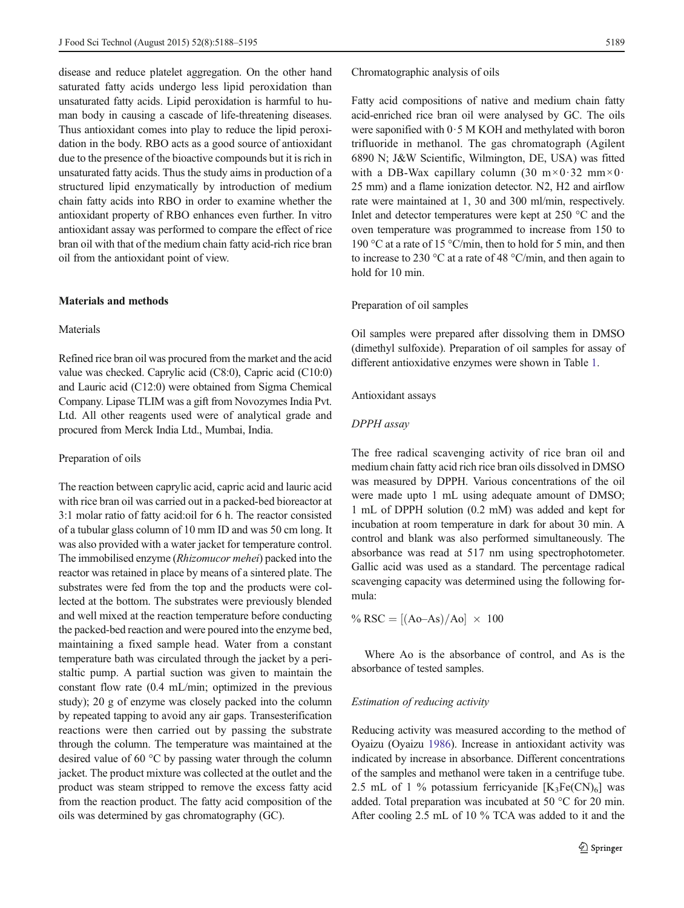disease and reduce platelet aggregation. On the other hand saturated fatty acids undergo less lipid peroxidation than unsaturated fatty acids. Lipid peroxidation is harmful to human body in causing a cascade of life-threatening diseases. Thus antioxidant comes into play to reduce the lipid peroxidation in the body. RBO acts as a good source of antioxidant due to the presence of the bioactive compounds but it is rich in unsaturated fatty acids. Thus the study aims in production of a structured lipid enzymatically by introduction of medium chain fatty acids into RBO in order to examine whether the antioxidant property of RBO enhances even further. In vitro antioxidant assay was performed to compare the effect of rice bran oil with that of the medium chain fatty acid-rich rice bran oil from the antioxidant point of view.

# Materials and methods

## Materials

Refined rice bran oil was procured from the market and the acid value was checked. Caprylic acid (C8:0), Capric acid (C10:0) and Lauric acid (C12:0) were obtained from Sigma Chemical Company. Lipase TLIM was a gift from Novozymes India Pvt. Ltd. All other reagents used were of analytical grade and procured from Merck India Ltd., Mumbai, India.

#### Preparation of oils

The reaction between caprylic acid, capric acid and lauric acid with rice bran oil was carried out in a packed-bed bioreactor at 3:1 molar ratio of fatty acid:oil for 6 h. The reactor consisted of a tubular glass column of 10 mm ID and was 50 cm long. It was also provided with a water jacket for temperature control. The immobilised enzyme (Rhizomucor mehei) packed into the reactor was retained in place by means of a sintered plate. The substrates were fed from the top and the products were collected at the bottom. The substrates were previously blended and well mixed at the reaction temperature before conducting the packed-bed reaction and were poured into the enzyme bed, maintaining a fixed sample head. Water from a constant temperature bath was circulated through the jacket by a peristaltic pump. A partial suction was given to maintain the constant flow rate (0.4 mL/min; optimized in the previous study); 20 g of enzyme was closely packed into the column by repeated tapping to avoid any air gaps. Transesterification reactions were then carried out by passing the substrate through the column. The temperature was maintained at the desired value of 60 °C by passing water through the column jacket. The product mixture was collected at the outlet and the product was steam stripped to remove the excess fatty acid from the reaction product. The fatty acid composition of the oils was determined by gas chromatography (GC).

Chromatographic analysis of oils

Fatty acid compositions of native and medium chain fatty acid-enriched rice bran oil were analysed by GC. The oils were saponified with 0·5 M KOH and methylated with boron trifluoride in methanol. The gas chromatograph (Agilent 6890 N; J&W Scientific, Wilmington, DE, USA) was fitted with a DB-Wax capillary column  $(30 \text{ m} \times 0.32 \text{ mm} \times 0.50)$ 25 mm) and a flame ionization detector. N2, H2 and airflow rate were maintained at 1, 30 and 300 ml/min, respectively. Inlet and detector temperatures were kept at 250 °C and the oven temperature was programmed to increase from 150 to 190 °C at a rate of 15 °C/min, then to hold for 5 min, and then to increase to 230 °C at a rate of 48 °C/min, and then again to hold for 10 min.

## Preparation of oil samples

Oil samples were prepared after dissolving them in DMSO (dimethyl sulfoxide). Preparation of oil samples for assay of different antioxidative enzymes were shown in Table [1.](#page-2-0)

#### Antioxidant assays

# DPPH assay

The free radical scavenging activity of rice bran oil and medium chain fatty acid rich rice bran oils dissolved in DMSO was measured by DPPH. Various concentrations of the oil were made upto 1 mL using adequate amount of DMSO; 1 mL of DPPH solution (0.2 mM) was added and kept for incubation at room temperature in dark for about 30 min. A control and blank was also performed simultaneously. The absorbance was read at 517 nm using spectrophotometer. Gallic acid was used as a standard. The percentage radical scavenging capacity was determined using the following formula:

$$
\% RSC = [(Ao-As)/Ao] \times 100
$$

Where Ao is the absorbance of control, and As is the absorbance of tested samples.

#### Estimation of reducing activity

Reducing activity was measured according to the method of Oyaizu (Oyaizu [1986\)](#page-7-0). Increase in antioxidant activity was indicated by increase in absorbance. Different concentrations of the samples and methanol were taken in a centrifuge tube. 2.5 mL of 1 % potassium ferricyanide  $[K_3Fe(CN)_6]$  was added. Total preparation was incubated at 50 °C for 20 min. After cooling 2.5 mL of 10 % TCA was added to it and the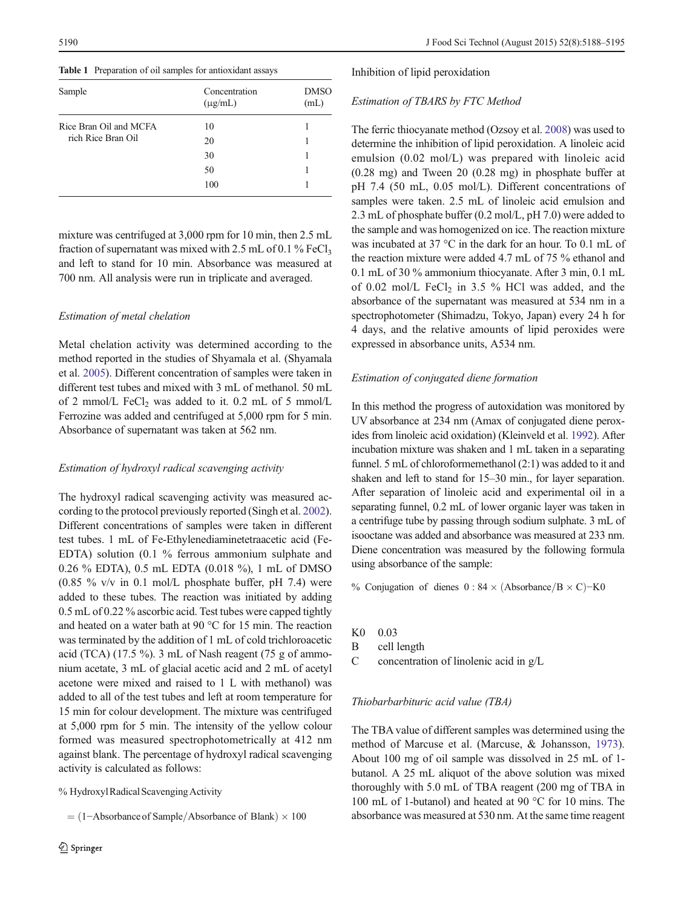<span id="page-2-0"></span>Table 1 Preparation of oil samples for antioxidant assays

| Sample                                       | Concentration<br>$(\mu g/mL)$ | <b>DMSO</b><br>(mL) |  |  |
|----------------------------------------------|-------------------------------|---------------------|--|--|
| Rice Bran Oil and MCFA<br>rich Rice Bran Oil | 10                            |                     |  |  |
|                                              | 20                            |                     |  |  |
|                                              | 30                            |                     |  |  |
|                                              | 50                            |                     |  |  |
|                                              | 100                           |                     |  |  |
|                                              |                               |                     |  |  |

mixture was centrifuged at 3,000 rpm for 10 min, then 2.5 mL fraction of supernatant was mixed with 2.5 mL of 0.1 % FeCl3 and left to stand for 10 min. Absorbance was measured at 700 nm. All analysis were run in triplicate and averaged.

# Estimation of metal chelation

Metal chelation activity was determined according to the method reported in the studies of Shyamala et al. (Shyamala et al. [2005\)](#page-7-0). Different concentration of samples were taken in different test tubes and mixed with 3 mL of methanol. 50 mL of 2 mmol/L FeCl<sub>2</sub> was added to it. 0.2 mL of 5 mmol/L Ferrozine was added and centrifuged at 5,000 rpm for 5 min. Absorbance of supernatant was taken at 562 nm.

# Estimation of hydroxyl radical scavenging activity

The hydroxyl radical scavenging activity was measured according to the protocol previously reported (Singh et al. [2002\)](#page-7-0). Different concentrations of samples were taken in different test tubes. 1 mL of Fe-Ethylenediaminetetraacetic acid (Fe-EDTA) solution (0.1 % ferrous ammonium sulphate and 0.26 % EDTA), 0.5 mL EDTA (0.018 %), 1 mL of DMSO (0.85 % v/v in 0.1 mol/L phosphate buffer, pH 7.4) were added to these tubes. The reaction was initiated by adding 0.5 mL of 0.22 % ascorbic acid. Test tubes were capped tightly and heated on a water bath at 90 °C for 15 min. The reaction was terminated by the addition of 1 mL of cold trichloroacetic acid (TCA) (17.5 %). 3 mL of Nash reagent (75 g of ammonium acetate, 3 mL of glacial acetic acid and 2 mL of acetyl acetone were mixed and raised to 1 L with methanol) was added to all of the test tubes and left at room temperature for 15 min for colour development. The mixture was centrifuged at 5,000 rpm for 5 min. The intensity of the yellow colour formed was measured spectrophotometrically at 412 nm against blank. The percentage of hydroxyl radical scavenging activity is calculated as follows:

% HydroxylRadical ScavengingActivity

 $= (1 - Absorbance of Sample/Absorbance of Blank) \times 100$ 

Inhibition of lipid peroxidation

# Estimation of TBARS by FTC Method

The ferric thiocyanate method (Ozsoy et al. [2008](#page-7-0)) was used to determine the inhibition of lipid peroxidation. A linoleic acid emulsion (0.02 mol/L) was prepared with linoleic acid (0.28 mg) and Tween 20 (0.28 mg) in phosphate buffer at pH 7.4 (50 mL, 0.05 mol/L). Different concentrations of samples were taken. 2.5 mL of linoleic acid emulsion and 2.3 mL of phosphate buffer (0.2 mol/L, pH 7.0) were added to the sample and was homogenized on ice. The reaction mixture was incubated at 37 °C in the dark for an hour. To 0.1 mL of the reaction mixture were added 4.7 mL of 75 % ethanol and 0.1 mL of 30 % ammonium thiocyanate. After 3 min, 0.1 mL of 0.02 mol/L  $FeCl<sub>2</sub>$  in 3.5 % HCl was added, and the absorbance of the supernatant was measured at 534 nm in a spectrophotometer (Shimadzu, Tokyo, Japan) every 24 h for 4 days, and the relative amounts of lipid peroxides were expressed in absorbance units, A534 nm.

# Estimation of conjugated diene formation

In this method the progress of autoxidation was monitored by UV absorbance at 234 nm (Amax of conjugated diene peroxides from linoleic acid oxidation) (Kleinveld et al. [1992\)](#page-7-0). After incubation mixture was shaken and 1 mL taken in a separating funnel. 5 mL of chloroformemethanol (2:1) was added to it and shaken and left to stand for 15–30 min., for layer separation. After separation of linoleic acid and experimental oil in a separating funnel, 0.2 mL of lower organic layer was taken in a centrifuge tube by passing through sodium sulphate. 3 mL of isooctane was added and absorbance was measured at 233 nm. Diene concentration was measured by the following formula using absorbance of the sample:

% Conjugation of dienes  $0: 84 \times (Absorbane/B \times C) - K0$ 

- K0 0.03
- B cell length
- C concentration of linolenic acid in g/L

### Thiobarbarbituric acid value (TBA)

The TBA value of different samples was determined using the method of Marcuse et al. (Marcuse, & Johansson, [1973\)](#page-7-0). About 100 mg of oil sample was dissolved in 25 mL of 1 butanol. A 25 mL aliquot of the above solution was mixed thoroughly with 5.0 mL of TBA reagent (200 mg of TBA in 100 mL of 1-butanol) and heated at 90 °C for 10 mins. The absorbance was measured at 530 nm. At the same time reagent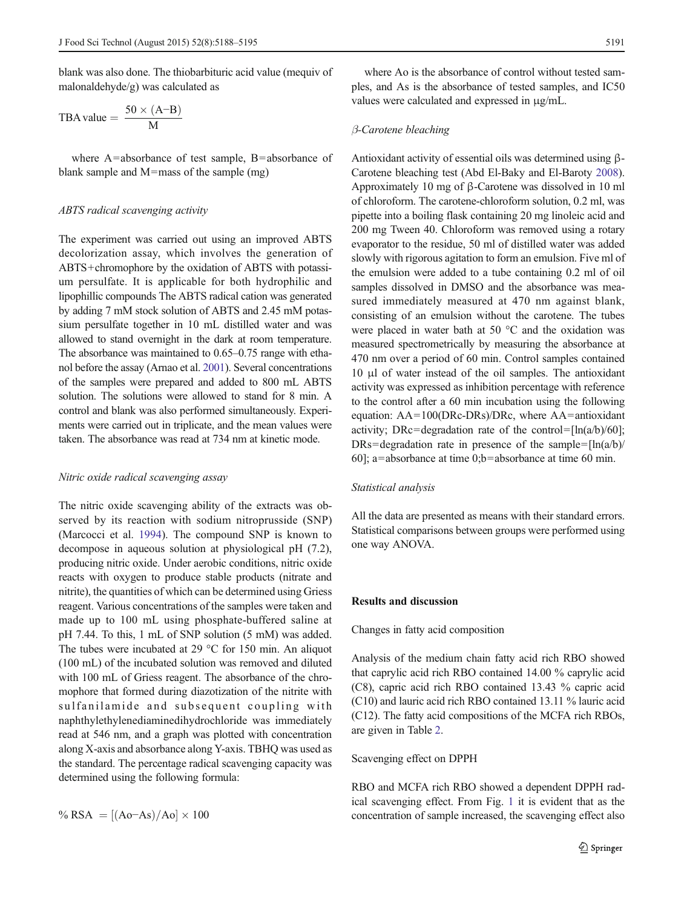blank was also done. The thiobarbituric acid value (mequiv of malonaldehyde/g) was calculated as

$$
TBA value = \frac{50 \times (A-B)}{M}
$$

where A=absorbance of test sample, B=absorbance of blank sample and M=mass of the sample (mg)

#### ABTS radical scavenging activity

The experiment was carried out using an improved ABTS decolorization assay, which involves the generation of ABTS+chromophore by the oxidation of ABTS with potassium persulfate. It is applicable for both hydrophilic and lipophillic compounds The ABTS radical cation was generated by adding 7 mM stock solution of ABTS and 2.45 mM potassium persulfate together in 10 mL distilled water and was allowed to stand overnight in the dark at room temperature. The absorbance was maintained to 0.65–0.75 range with ethanol before the assay (Arnao et al. [2001\)](#page-7-0). Several concentrations of the samples were prepared and added to 800 mL ABTS solution. The solutions were allowed to stand for 8 min. A control and blank was also performed simultaneously. Experiments were carried out in triplicate, and the mean values were taken. The absorbance was read at 734 nm at kinetic mode.

#### Nitric oxide radical scavenging assay

The nitric oxide scavenging ability of the extracts was observed by its reaction with sodium nitroprusside (SNP) (Marcocci et al. [1994\)](#page-7-0). The compound SNP is known to decompose in aqueous solution at physiological pH (7.2), producing nitric oxide. Under aerobic conditions, nitric oxide reacts with oxygen to produce stable products (nitrate and nitrite), the quantities of which can be determined using Griess reagent. Various concentrations of the samples were taken and made up to 100 mL using phosphate-buffered saline at pH 7.44. To this, 1 mL of SNP solution (5 mM) was added. The tubes were incubated at 29 °C for 150 min. An aliquot (100 mL) of the incubated solution was removed and diluted with 100 mL of Griess reagent. The absorbance of the chromophore that formed during diazotization of the nitrite with sulfanilamide and sub sequent coupling with naphthylethylenediaminedihydrochloride was immediately read at 546 nm, and a graph was plotted with concentration along X-axis and absorbance along Y-axis. TBHQ was used as the standard. The percentage radical scavenging capacity was determined using the following formula:

$$
\% RSA = [(Ao-As)/Ao] \times 100
$$

where Ao is the absorbance of control without tested samples, and As is the absorbance of tested samples, and IC50 values were calculated and expressed in μg/mL.

# β-Carotene bleaching

Antioxidant activity of essential oils was determined using β-Carotene bleaching test (Abd El-Baky and El-Baroty [2008\)](#page-7-0). Approximately 10 mg of β-Carotene was dissolved in 10 ml of chloroform. The carotene-chloroform solution, 0.2 ml, was pipette into a boiling flask containing 20 mg linoleic acid and 200 mg Tween 40. Chloroform was removed using a rotary evaporator to the residue, 50 ml of distilled water was added slowly with rigorous agitation to form an emulsion. Five ml of the emulsion were added to a tube containing 0.2 ml of oil samples dissolved in DMSO and the absorbance was measured immediately measured at 470 nm against blank, consisting of an emulsion without the carotene. The tubes were placed in water bath at 50 °C and the oxidation was measured spectrometrically by measuring the absorbance at 470 nm over a period of 60 min. Control samples contained 10 μl of water instead of the oil samples. The antioxidant activity was expressed as inhibition percentage with reference to the control after a 60 min incubation using the following equation: AA=100(DRc-DRs)/DRc, where AA=antioxidant activity; DRc=degradation rate of the control= $[ln(a/b)/60]$ ; DRs=degradation rate in presence of the sample= $\frac{ln(a/b)}{2}$ 60]; a=absorbance at time 0;b=absorbance at time 60 min.

# Statistical analysis

All the data are presented as means with their standard errors. Statistical comparisons between groups were performed using one way ANOVA.

## Results and discussion

Changes in fatty acid composition

Analysis of the medium chain fatty acid rich RBO showed that caprylic acid rich RBO contained 14.00 % caprylic acid (C8), capric acid rich RBO contained 13.43 % capric acid (C10) and lauric acid rich RBO contained 13.11 % lauric acid (C12). The fatty acid compositions of the MCFA rich RBOs, are given in Table [2.](#page-4-0)

#### Scavenging effect on DPPH

RBO and MCFA rich RBO showed a dependent DPPH radical scavenging effect. From Fig. [1](#page-4-0) it is evident that as the concentration of sample increased, the scavenging effect also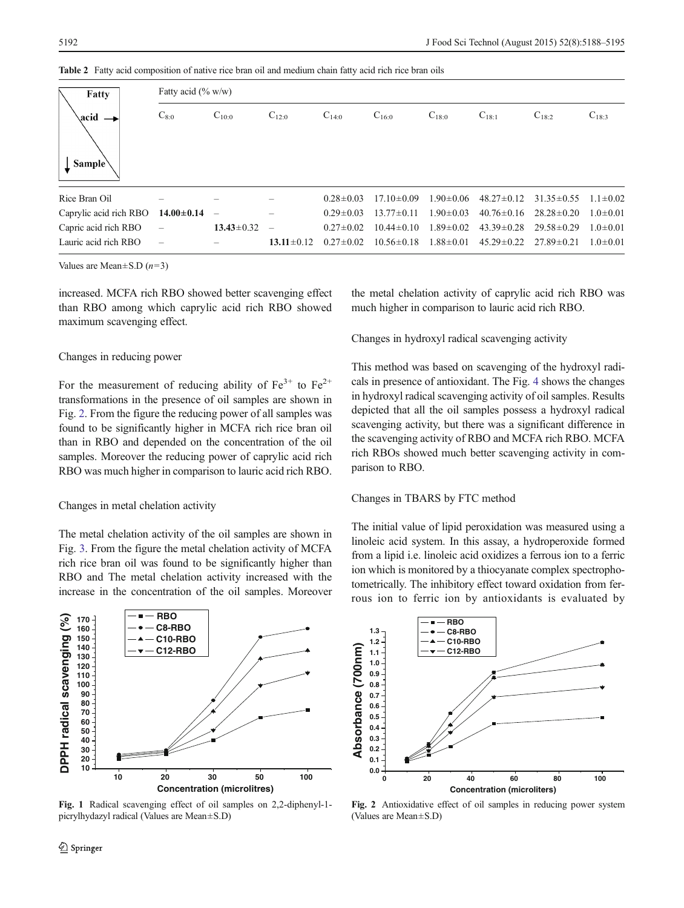| Fatty<br>acid<br>Sample <sup>\</sup> | Fatty acid $(\% w/w)$ |                  |                  |                 |                  |                 |                  |                  |                |  |
|--------------------------------------|-----------------------|------------------|------------------|-----------------|------------------|-----------------|------------------|------------------|----------------|--|
|                                      | $C_{8:0}$             | $C_{10:0}$       | $C_{12:0}$       | $C_{14:0}$      | $C_{16:0}$       | $C_{18:0}$      | $C_{18:1}$       | $C_{18:2}$       | $C_{18:3}$     |  |
| Rice Bran Oil                        |                       |                  |                  | $0.28 \pm 0.03$ | $17.10 \pm 0.09$ | $1.90 \pm 0.06$ | $48.27 \pm 0.12$ | $31.35 \pm 0.55$ | $1.1 \pm 0.02$ |  |
| Caprylic acid rich RBO               | $14.00 \pm 0.14$      | —                | $\equiv$         | $0.29 \pm 0.03$ | $13.77 \pm 0.11$ | $1.90 \pm 0.03$ | $40.76 \pm 0.16$ | $28.28 \pm 0.20$ | $1.0 \pm 0.01$ |  |
| Capric acid rich RBO                 |                       | $13.43 \pm 0.32$ | $\equiv$         | $0.27 \pm 0.02$ | $10.44 \pm 0.10$ | $1.89 \pm 0.02$ | $43.39 \pm 0.28$ | $29.58 \pm 0.29$ | $1.0 \pm 0.01$ |  |
| Lauric acid rich RBO                 |                       |                  | $13.11 \pm 0.12$ | $0.27 \pm 0.02$ | $10.56 \pm 0.18$ | $1.88 \pm 0.01$ | $45.29 \pm 0.22$ | $27.89 \pm 0.21$ | $1.0 \pm 0.01$ |  |

<span id="page-4-0"></span>Table 2 Fatty acid composition of native rice bran oil and medium chain fatty acid rich rice bran oils

Values are Mean $\pm$ S.D (*n*=3)

increased. MCFA rich RBO showed better scavenging effect than RBO among which caprylic acid rich RBO showed maximum scavenging effect.

## Changes in reducing power

For the measurement of reducing ability of  $Fe^{3+}$  to  $Fe^{2+}$ transformations in the presence of oil samples are shown in Fig. 2. From the figure the reducing power of all samples was found to be significantly higher in MCFA rich rice bran oil than in RBO and depended on the concentration of the oil samples. Moreover the reducing power of caprylic acid rich RBO was much higher in comparison to lauric acid rich RBO.

## Changes in metal chelation activity

The metal chelation activity of the oil samples are shown in Fig. [3.](#page-5-0) From the figure the metal chelation activity of MCFA rich rice bran oil was found to be significantly higher than RBO and The metal chelation activity increased with the increase in the concentration of the oil samples. Moreover



Fig. 1 Radical scavenging effect of oil samples on 2,2-diphenyl-1 picrylhydazyl radical (Values are Mean±S.D)

the metal chelation activity of caprylic acid rich RBO was much higher in comparison to lauric acid rich RBO.

Changes in hydroxyl radical scavenging activity

This method was based on scavenging of the hydroxyl radicals in presence of antioxidant. The Fig. [4](#page-5-0) shows the changes in hydroxyl radical scavenging activity of oil samples. Results depicted that all the oil samples possess a hydroxyl radical scavenging activity, but there was a significant difference in the scavenging activity of RBO and MCFA rich RBO. MCFA rich RBOs showed much better scavenging activity in comparison to RBO.

#### Changes in TBARS by FTC method

The initial value of lipid peroxidation was measured using a linoleic acid system. In this assay, a hydroperoxide formed from a lipid i.e. linoleic acid oxidizes a ferrous ion to a ferric ion which is monitored by a thiocyanate complex spectrophotometrically. The inhibitory effect toward oxidation from ferrous ion to ferric ion by antioxidants is evaluated by



Fig. 2 Antioxidative effect of oil samples in reducing power system (Values are Mean±S.D)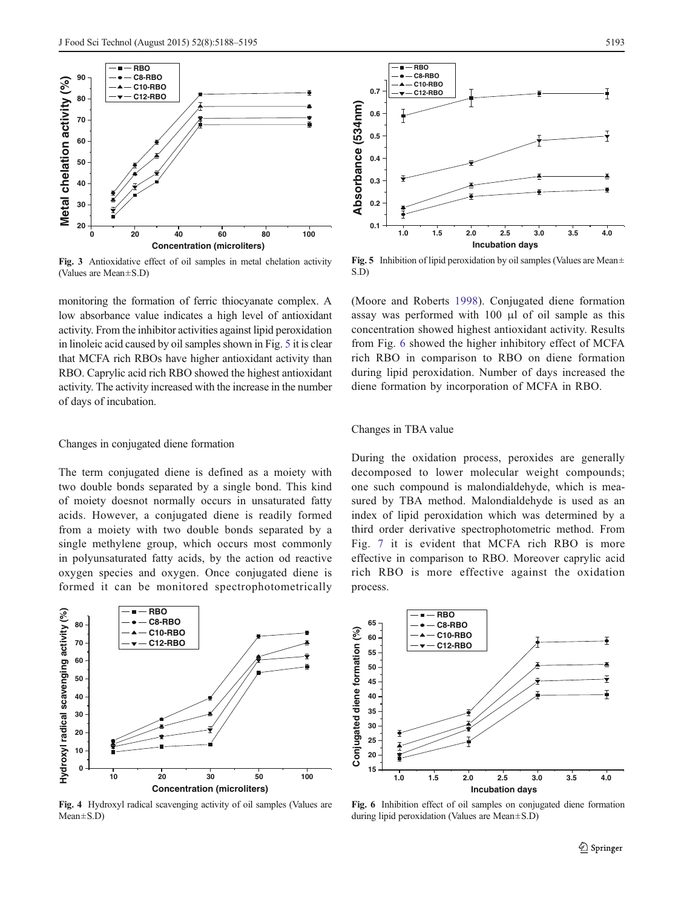<span id="page-5-0"></span>

Fig. 3 Antioxidative effect of oil samples in metal chelation activity (Values are Mean±S.D)

monitoring the formation of ferric thiocyanate complex. A low absorbance value indicates a high level of antioxidant activity. From the inhibitor activities against lipid peroxidation in linoleic acid caused by oil samples shown in Fig. 5 it is clear that MCFA rich RBOs have higher antioxidant activity than RBO. Caprylic acid rich RBO showed the highest antioxidant activity. The activity increased with the increase in the number of days of incubation.

#### Changes in conjugated diene formation

The term conjugated diene is defined as a moiety with two double bonds separated by a single bond. This kind of moiety doesnot normally occurs in unsaturated fatty acids. However, a conjugated diene is readily formed from a moiety with two double bonds separated by a single methylene group, which occurs most commonly in polyunsaturated fatty acids, by the action od reactive oxygen species and oxygen. Once conjugated diene is formed it can be monitored spectrophotometrically



Fig. 4 Hydroxyl radical scavenging activity of oil samples (Values are Mean±S.D)



Fig. 5 Inhibition of lipid peroxidation by oil samples (Values are Mean $\pm$ S.D)

(Moore and Roberts [1998](#page-7-0)). Conjugated diene formation assay was performed with 100 μl of oil sample as this concentration showed highest antioxidant activity. Results from Fig. 6 showed the higher inhibitory effect of MCFA rich RBO in comparison to RBO on diene formation during lipid peroxidation. Number of days increased the diene formation by incorporation of MCFA in RBO.

#### Changes in TBA value

During the oxidation process, peroxides are generally decomposed to lower molecular weight compounds; one such compound is malondialdehyde, which is measured by TBA method. Malondialdehyde is used as an index of lipid peroxidation which was determined by a third order derivative spectrophotometric method. From Fig. [7](#page-6-0) it is evident that MCFA rich RBO is more effective in comparison to RBO. Moreover caprylic acid rich RBO is more effective against the oxidation process.



Fig. 6 Inhibition effect of oil samples on conjugated diene formation during lipid peroxidation (Values are Mean±S.D)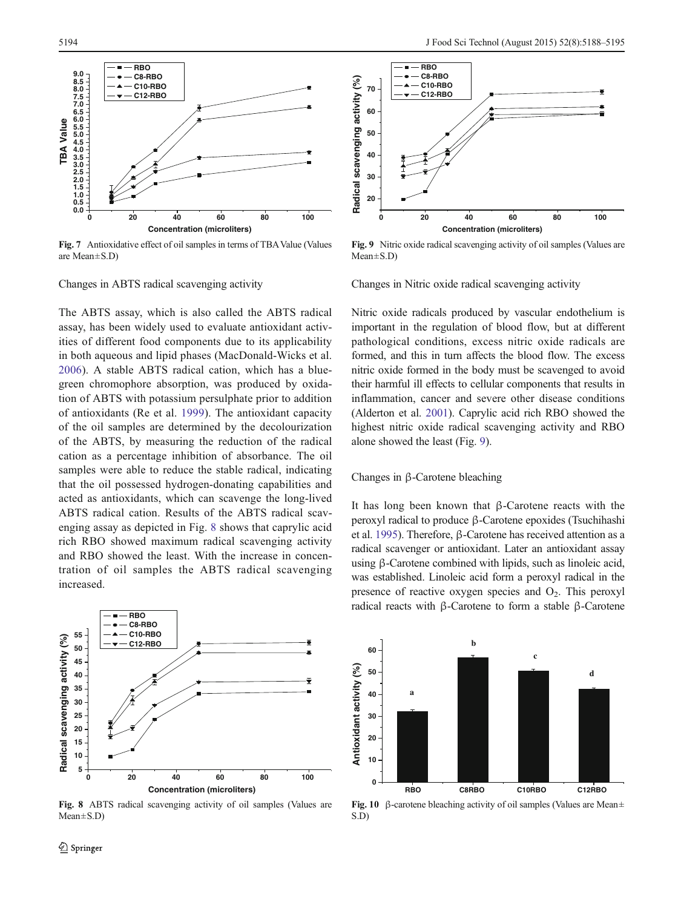<span id="page-6-0"></span>

Fig. 7 Antioxidative effect of oil samples in terms of TBAValue (Values are Mean±S.D)

Changes in ABTS radical scavenging activity

The ABTS assay, which is also called the ABTS radical assay, has been widely used to evaluate antioxidant activities of different food components due to its applicability in both aqueous and lipid phases (MacDonald-Wicks et al. [2006](#page-7-0)). A stable ABTS radical cation, which has a bluegreen chromophore absorption, was produced by oxidation of ABTS with potassium persulphate prior to addition of antioxidants (Re et al. [1999](#page-7-0)). The antioxidant capacity of the oil samples are determined by the decolourization of the ABTS, by measuring the reduction of the radical cation as a percentage inhibition of absorbance. The oil samples were able to reduce the stable radical, indicating that the oil possessed hydrogen-donating capabilities and acted as antioxidants, which can scavenge the long-lived ABTS radical cation. Results of the ABTS radical scavenging assay as depicted in Fig. 8 shows that caprylic acid rich RBO showed maximum radical scavenging activity and RBO showed the least. With the increase in concentration of oil samples the ABTS radical scavenging increased.



Fig. 8 ABTS radical scavenging activity of oil samples (Values are Mean±S.D)



Fig. 9 Nitric oxide radical scavenging activity of oil samples (Values are Mean±S.D)

Changes in Nitric oxide radical scavenging activity

Nitric oxide radicals produced by vascular endothelium is important in the regulation of blood flow, but at different pathological conditions, excess nitric oxide radicals are formed, and this in turn affects the blood flow. The excess nitric oxide formed in the body must be scavenged to avoid their harmful ill effects to cellular components that results in inflammation, cancer and severe other disease conditions (Alderton et al. [2001\)](#page-7-0). Caprylic acid rich RBO showed the highest nitric oxide radical scavenging activity and RBO alone showed the least (Fig. 9).

# Changes in β-Carotene bleaching

It has long been known that β-Carotene reacts with the peroxyl radical to produce β-Carotene epoxides (Tsuchihashi et al. [1995](#page-7-0)). Therefore, β-Carotene has received attention as a radical scavenger or antioxidant. Later an antioxidant assay using β-Carotene combined with lipids, such as linoleic acid, was established. Linoleic acid form a peroxyl radical in the presence of reactive oxygen species and  $O<sub>2</sub>$ . This peroxyl radical reacts with β-Carotene to form a stable β-Carotene



Fig. 10 β-carotene bleaching activity of oil samples (Values are Mean $\pm$ S.D)